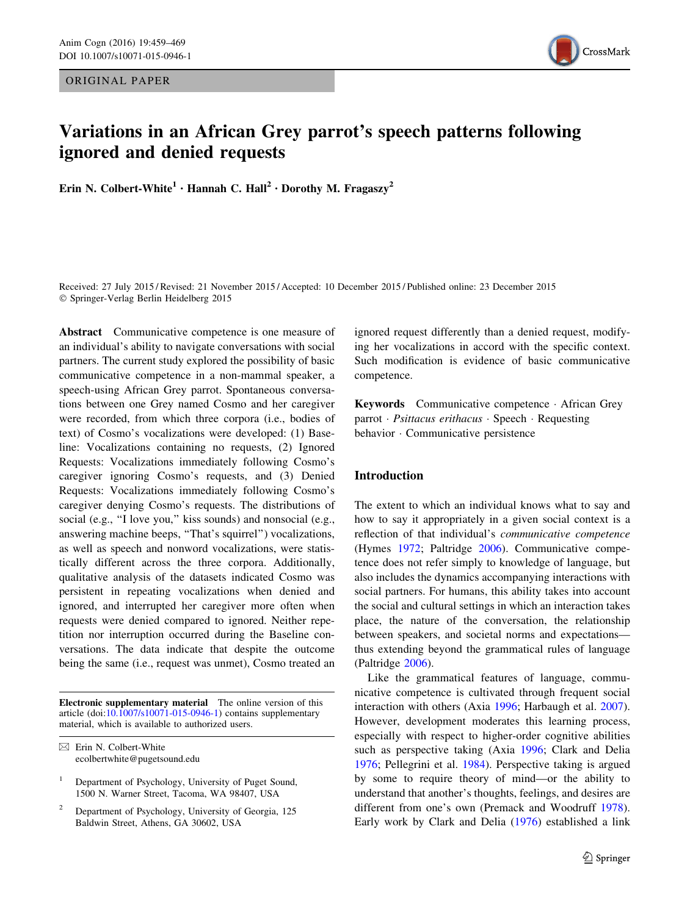ORIGINAL PAPER



# Variations in an African Grey parrot's speech patterns following ignored and denied requests

Erin N. Colbert-White<sup>1</sup> · Hannah C. Hall<sup>2</sup> · Dorothy M. Fragaszy<sup>2</sup>

Received: 27 July 2015 / Revised: 21 November 2015 / Accepted: 10 December 2015 / Published online: 23 December 2015 - Springer-Verlag Berlin Heidelberg 2015

Abstract Communicative competence is one measure of an individual's ability to navigate conversations with social partners. The current study explored the possibility of basic communicative competence in a non-mammal speaker, a speech-using African Grey parrot. Spontaneous conversations between one Grey named Cosmo and her caregiver were recorded, from which three corpora (i.e., bodies of text) of Cosmo's vocalizations were developed: (1) Baseline: Vocalizations containing no requests, (2) Ignored Requests: Vocalizations immediately following Cosmo's caregiver ignoring Cosmo's requests, and (3) Denied Requests: Vocalizations immediately following Cosmo's caregiver denying Cosmo's requests. The distributions of social (e.g., "I love you," kiss sounds) and nonsocial (e.g., answering machine beeps, ''That's squirrel'') vocalizations, as well as speech and nonword vocalizations, were statistically different across the three corpora. Additionally, qualitative analysis of the datasets indicated Cosmo was persistent in repeating vocalizations when denied and ignored, and interrupted her caregiver more often when requests were denied compared to ignored. Neither repetition nor interruption occurred during the Baseline conversations. The data indicate that despite the outcome being the same (i.e., request was unmet), Cosmo treated an

Electronic supplementary material The online version of this article (doi:[10.1007/s10071-015-0946-1\)](http://dx.doi.org/10.1007/s10071-015-0946-1) contains supplementary material, which is available to authorized users.

ignored request differently than a denied request, modifying her vocalizations in accord with the specific context. Such modification is evidence of basic communicative competence.

Keywords Communicative competence - African Grey parrot · Psittacus erithacus · Speech · Requesting behavior - Communicative persistence

# Introduction

The extent to which an individual knows what to say and how to say it appropriately in a given social context is a reflection of that individual's communicative competence (Hymes [1972](#page-9-0); Paltridge [2006](#page-10-0)). Communicative competence does not refer simply to knowledge of language, but also includes the dynamics accompanying interactions with social partners. For humans, this ability takes into account the social and cultural settings in which an interaction takes place, the nature of the conversation, the relationship between speakers, and societal norms and expectations thus extending beyond the grammatical rules of language (Paltridge [2006\)](#page-10-0).

Like the grammatical features of language, communicative competence is cultivated through frequent social interaction with others (Axia [1996;](#page-9-0) Harbaugh et al. [2007](#page-9-0)). However, development moderates this learning process, especially with respect to higher-order cognitive abilities such as perspective taking (Axia [1996](#page-9-0); Clark and Delia [1976](#page-9-0); Pellegrini et al. [1984](#page-10-0)). Perspective taking is argued by some to require theory of mind—or the ability to understand that another's thoughts, feelings, and desires are different from one's own (Premack and Woodruff [1978](#page-10-0)). Early work by Clark and Delia [\(1976](#page-9-0)) established a link

 $\boxtimes$  Erin N. Colbert-White ecolbertwhite@pugetsound.edu

<sup>1</sup> Department of Psychology, University of Puget Sound, 1500 N. Warner Street, Tacoma, WA 98407, USA

<sup>2</sup> Department of Psychology, University of Georgia, 125 Baldwin Street, Athens, GA 30602, USA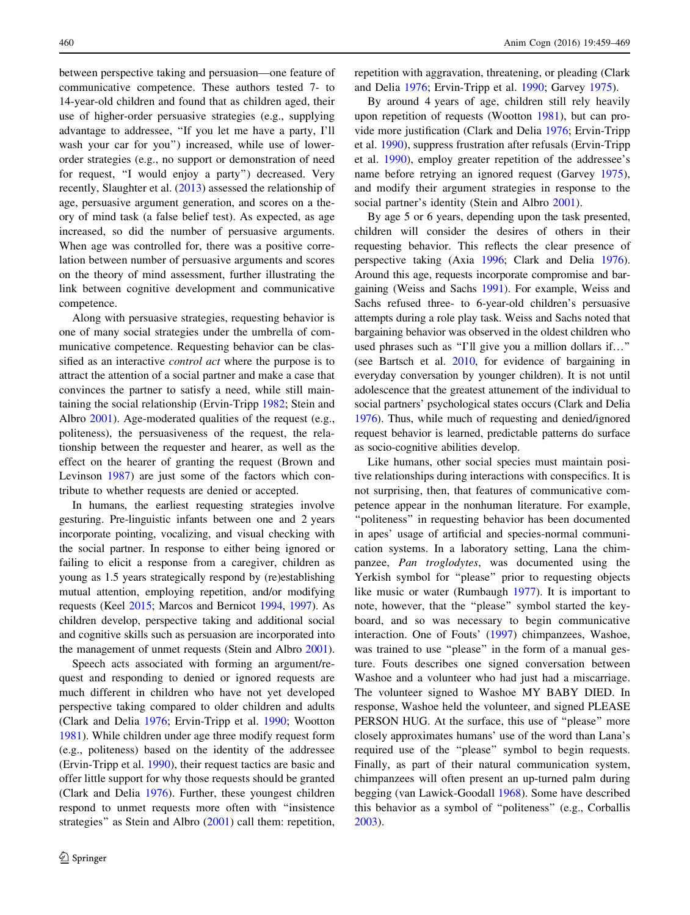between perspective taking and persuasion—one feature of communicative competence. These authors tested 7- to 14-year-old children and found that as children aged, their use of higher-order persuasive strategies (e.g., supplying advantage to addressee, ''If you let me have a party, I'll wash your car for you'') increased, while use of lowerorder strategies (e.g., no support or demonstration of need for request, ''I would enjoy a party'') decreased. Very recently, Slaughter et al. [\(2013](#page-10-0)) assessed the relationship of age, persuasive argument generation, and scores on a theory of mind task (a false belief test). As expected, as age increased, so did the number of persuasive arguments. When age was controlled for, there was a positive correlation between number of persuasive arguments and scores on the theory of mind assessment, further illustrating the link between cognitive development and communicative competence.

Along with persuasive strategies, requesting behavior is one of many social strategies under the umbrella of communicative competence. Requesting behavior can be classified as an interactive control act where the purpose is to attract the attention of a social partner and make a case that convinces the partner to satisfy a need, while still maintaining the social relationship (Ervin-Tripp [1982](#page-9-0); Stein and Albro [2001\)](#page-10-0). Age-moderated qualities of the request (e.g., politeness), the persuasiveness of the request, the relationship between the requester and hearer, as well as the effect on the hearer of granting the request (Brown and Levinson [1987\)](#page-9-0) are just some of the factors which contribute to whether requests are denied or accepted.

In humans, the earliest requesting strategies involve gesturing. Pre-linguistic infants between one and 2 years incorporate pointing, vocalizing, and visual checking with the social partner. In response to either being ignored or failing to elicit a response from a caregiver, children as young as 1.5 years strategically respond by (re)establishing mutual attention, employing repetition, and/or modifying requests (Keel [2015](#page-9-0); Marcos and Bernicot [1994,](#page-10-0) [1997](#page-10-0)). As children develop, perspective taking and additional social and cognitive skills such as persuasion are incorporated into the management of unmet requests (Stein and Albro [2001](#page-10-0)).

Speech acts associated with forming an argument/request and responding to denied or ignored requests are much different in children who have not yet developed perspective taking compared to older children and adults (Clark and Delia [1976](#page-9-0); Ervin-Tripp et al. [1990](#page-9-0); Wootton [1981\)](#page-10-0). While children under age three modify request form (e.g., politeness) based on the identity of the addressee (Ervin-Tripp et al. [1990](#page-9-0)), their request tactics are basic and offer little support for why those requests should be granted (Clark and Delia [1976](#page-9-0)). Further, these youngest children respond to unmet requests more often with ''insistence strategies" as Stein and Albro ([2001\)](#page-10-0) call them: repetition, repetition with aggravation, threatening, or pleading (Clark and Delia [1976;](#page-9-0) Ervin-Tripp et al. [1990;](#page-9-0) Garvey [1975\)](#page-9-0).

By around 4 years of age, children still rely heavily upon repetition of requests (Wootton [1981](#page-10-0)), but can provide more justification (Clark and Delia [1976;](#page-9-0) Ervin-Tripp et al. [1990](#page-9-0)), suppress frustration after refusals (Ervin-Tripp et al. [1990](#page-9-0)), employ greater repetition of the addressee's name before retrying an ignored request (Garvey [1975](#page-9-0)), and modify their argument strategies in response to the social partner's identity (Stein and Albro [2001](#page-10-0)).

By age 5 or 6 years, depending upon the task presented, children will consider the desires of others in their requesting behavior. This reflects the clear presence of perspective taking (Axia [1996](#page-9-0); Clark and Delia [1976\)](#page-9-0). Around this age, requests incorporate compromise and bargaining (Weiss and Sachs [1991](#page-10-0)). For example, Weiss and Sachs refused three- to 6-year-old children's persuasive attempts during a role play task. Weiss and Sachs noted that bargaining behavior was observed in the oldest children who used phrases such as "I'll give you a million dollars if..." (see Bartsch et al. [2010](#page-9-0), for evidence of bargaining in everyday conversation by younger children). It is not until adolescence that the greatest attunement of the individual to social partners' psychological states occurs (Clark and Delia [1976\)](#page-9-0). Thus, while much of requesting and denied/ignored request behavior is learned, predictable patterns do surface as socio-cognitive abilities develop.

Like humans, other social species must maintain positive relationships during interactions with conspecifics. It is not surprising, then, that features of communicative competence appear in the nonhuman literature. For example, ''politeness'' in requesting behavior has been documented in apes' usage of artificial and species-normal communication systems. In a laboratory setting, Lana the chimpanzee, Pan troglodytes, was documented using the Yerkish symbol for ''please'' prior to requesting objects like music or water (Rumbaugh [1977\)](#page-10-0). It is important to note, however, that the ''please'' symbol started the keyboard, and so was necessary to begin communicative interaction. One of Fouts' [\(1997](#page-9-0)) chimpanzees, Washoe, was trained to use "please" in the form of a manual gesture. Fouts describes one signed conversation between Washoe and a volunteer who had just had a miscarriage. The volunteer signed to Washoe MY BABY DIED. In response, Washoe held the volunteer, and signed PLEASE PERSON HUG. At the surface, this use of ''please'' more closely approximates humans' use of the word than Lana's required use of the ''please'' symbol to begin requests. Finally, as part of their natural communication system, chimpanzees will often present an up-turned palm during begging (van Lawick-Goodall [1968](#page-10-0)). Some have described this behavior as a symbol of ''politeness'' (e.g., Corballis [2003](#page-9-0)).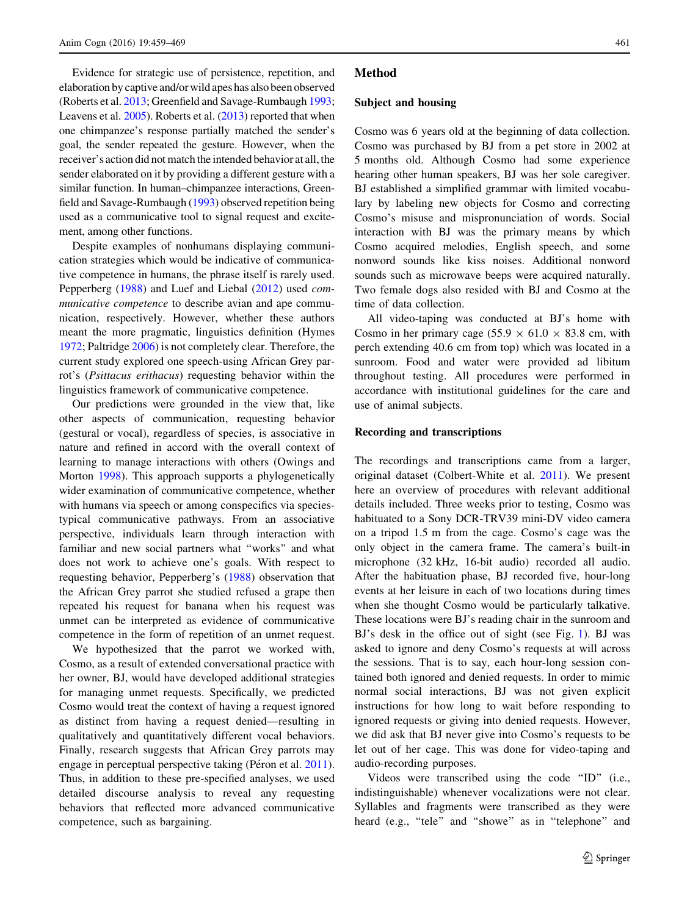Evidence for strategic use of persistence, repetition, and elaboration by captive and/or wild apes has also been observed (Roberts et al. [2013](#page-10-0); Greenfield and Savage-Rumbaugh [1993](#page-9-0); Leavens et al. [2005](#page-9-0)). Roberts et al. [\(2013\)](#page-10-0) reported that when one chimpanzee's response partially matched the sender's goal, the sender repeated the gesture. However, when the receiver's action did not match the intended behavior at all, the sender elaborated on it by providing a different gesture with a similar function. In human–chimpanzee interactions, Greenfield and Savage-Rumbaugh [\(1993\)](#page-9-0) observed repetition being used as a communicative tool to signal request and excitement, among other functions.

Despite examples of nonhumans displaying communication strategies which would be indicative of communicative competence in humans, the phrase itself is rarely used. Pepperberg [\(1988](#page-10-0)) and Luef and Liebal ([2012\)](#page-10-0) used communicative competence to describe avian and ape communication, respectively. However, whether these authors meant the more pragmatic, linguistics definition (Hymes [1972;](#page-9-0) Paltridge [2006\)](#page-10-0) is not completely clear. Therefore, the current study explored one speech-using African Grey parrot's (Psittacus erithacus) requesting behavior within the linguistics framework of communicative competence.

Our predictions were grounded in the view that, like other aspects of communication, requesting behavior (gestural or vocal), regardless of species, is associative in nature and refined in accord with the overall context of learning to manage interactions with others (Owings and Morton [1998\)](#page-10-0). This approach supports a phylogenetically wider examination of communicative competence, whether with humans via speech or among conspecifics via speciestypical communicative pathways. From an associative perspective, individuals learn through interaction with familiar and new social partners what ''works'' and what does not work to achieve one's goals. With respect to requesting behavior, Pepperberg's ([1988\)](#page-10-0) observation that the African Grey parrot she studied refused a grape then repeated his request for banana when his request was unmet can be interpreted as evidence of communicative competence in the form of repetition of an unmet request.

We hypothesized that the parrot we worked with, Cosmo, as a result of extended conversational practice with her owner, BJ, would have developed additional strategies for managing unmet requests. Specifically, we predicted Cosmo would treat the context of having a request ignored as distinct from having a request denied—resulting in qualitatively and quantitatively different vocal behaviors. Finally, research suggests that African Grey parrots may engage in perceptual perspective taking (Péron et al. [2011](#page-10-0)). Thus, in addition to these pre-specified analyses, we used detailed discourse analysis to reveal any requesting behaviors that reflected more advanced communicative competence, such as bargaining.

### Method

#### Subject and housing

Cosmo was 6 years old at the beginning of data collection. Cosmo was purchased by BJ from a pet store in 2002 at 5 months old. Although Cosmo had some experience hearing other human speakers, BJ was her sole caregiver. BJ established a simplified grammar with limited vocabulary by labeling new objects for Cosmo and correcting Cosmo's misuse and mispronunciation of words. Social interaction with BJ was the primary means by which Cosmo acquired melodies, English speech, and some nonword sounds like kiss noises. Additional nonword sounds such as microwave beeps were acquired naturally. Two female dogs also resided with BJ and Cosmo at the time of data collection.

All video-taping was conducted at BJ's home with Cosmo in her primary cage (55.9  $\times$  61.0  $\times$  83.8 cm, with perch extending 40.6 cm from top) which was located in a sunroom. Food and water were provided ad libitum throughout testing. All procedures were performed in accordance with institutional guidelines for the care and use of animal subjects.

### Recording and transcriptions

The recordings and transcriptions came from a larger, original dataset (Colbert-White et al. [2011](#page-9-0)). We present here an overview of procedures with relevant additional details included. Three weeks prior to testing, Cosmo was habituated to a Sony DCR-TRV39 mini-DV video camera on a tripod 1.5 m from the cage. Cosmo's cage was the only object in the camera frame. The camera's built-in microphone (32 kHz, 16-bit audio) recorded all audio. After the habituation phase, BJ recorded five, hour-long events at her leisure in each of two locations during times when she thought Cosmo would be particularly talkative. These locations were BJ's reading chair in the sunroom and BJ's desk in the office out of sight (see Fig. [1\)](#page-3-0). BJ was asked to ignore and deny Cosmo's requests at will across the sessions. That is to say, each hour-long session contained both ignored and denied requests. In order to mimic normal social interactions, BJ was not given explicit instructions for how long to wait before responding to ignored requests or giving into denied requests. However, we did ask that BJ never give into Cosmo's requests to be let out of her cage. This was done for video-taping and audio-recording purposes.

Videos were transcribed using the code ''ID'' (i.e., indistinguishable) whenever vocalizations were not clear. Syllables and fragments were transcribed as they were heard (e.g., "tele" and "showe" as in "telephone" and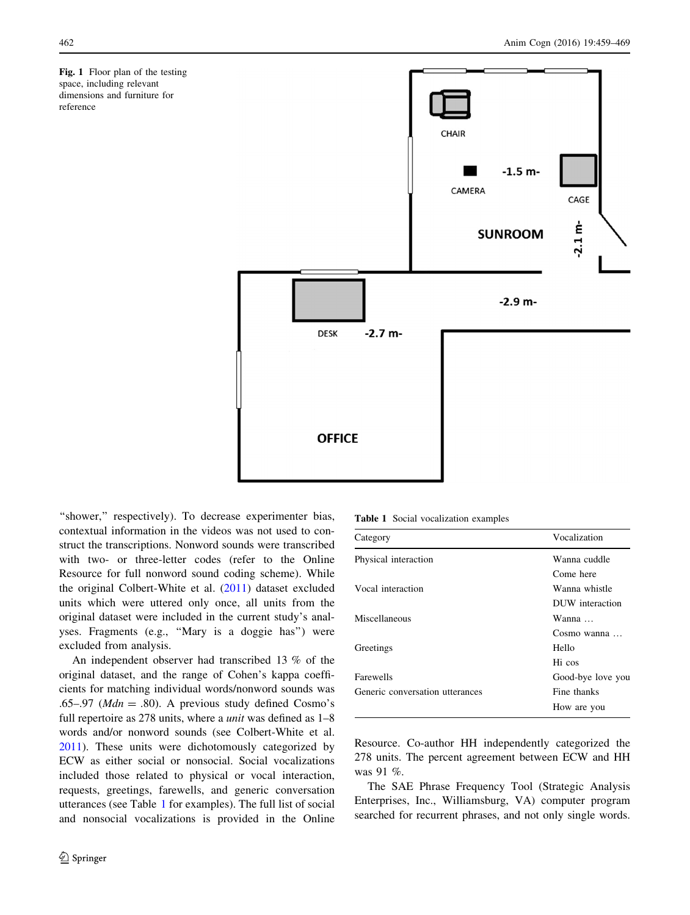<span id="page-3-0"></span>Fig. 1 Floor plan of the testing space, including relevant dimensions and furniture for reference



"shower," respectively). To decrease experimenter bias, contextual information in the videos was not used to construct the transcriptions. Nonword sounds were transcribed with two- or three-letter codes (refer to the Online Resource for full nonword sound coding scheme). While the original Colbert-White et al. [\(2011](#page-9-0)) dataset excluded units which were uttered only once, all units from the original dataset were included in the current study's analyses. Fragments (e.g., ''Mary is a doggie has'') were excluded from analysis.

An independent observer had transcribed 13 % of the original dataset, and the range of Cohen's kappa coefficients for matching individual words/nonword sounds was .65–.97 ( $Mdn = .80$ ). A previous study defined Cosmo's full repertoire as 278 units, where a unit was defined as 1–8 words and/or nonword sounds (see Colbert-White et al. [2011\)](#page-9-0). These units were dichotomously categorized by ECW as either social or nonsocial. Social vocalizations included those related to physical or vocal interaction, requests, greetings, farewells, and generic conversation utterances (see Table 1 for examples). The full list of social and nonsocial vocalizations is provided in the Online

Table 1 Social vocalization examples

| Category                        | Vocalization      |
|---------------------------------|-------------------|
| Physical interaction            | Wanna cuddle      |
|                                 | Come here         |
| Vocal interaction               | Wanna whistle     |
|                                 | DUW interaction   |
| Miscellaneous                   | Wanna             |
|                                 | Cosmo wanna       |
| Greetings                       | Hello             |
|                                 | Hi cos            |
| Farewells                       | Good-bye love you |
| Generic conversation utterances | Fine thanks       |
|                                 | How are you       |

Resource. Co-author HH independently categorized the 278 units. The percent agreement between ECW and HH was 91 %.

The SAE Phrase Frequency Tool (Strategic Analysis Enterprises, Inc., Williamsburg, VA) computer program searched for recurrent phrases, and not only single words.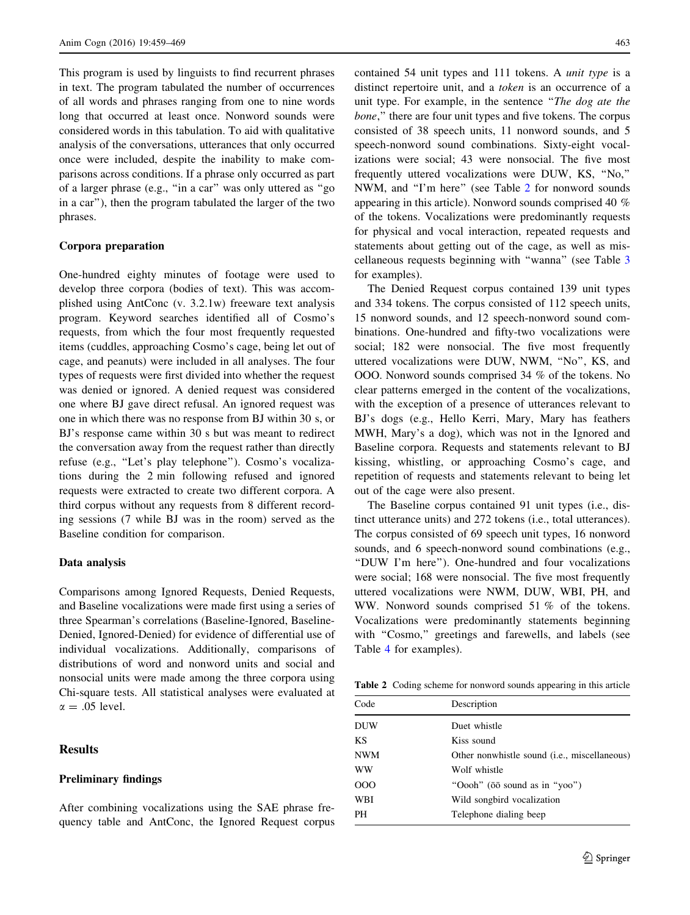This program is used by linguists to find recurrent phrases in text. The program tabulated the number of occurrences of all words and phrases ranging from one to nine words long that occurred at least once. Nonword sounds were considered words in this tabulation. To aid with qualitative analysis of the conversations, utterances that only occurred once were included, despite the inability to make comparisons across conditions. If a phrase only occurred as part of a larger phrase (e.g., ''in a car'' was only uttered as ''go in a car''), then the program tabulated the larger of the two phrases.

# Corpora preparation

One-hundred eighty minutes of footage were used to develop three corpora (bodies of text). This was accomplished using AntConc (v. 3.2.1w) freeware text analysis program. Keyword searches identified all of Cosmo's requests, from which the four most frequently requested items (cuddles, approaching Cosmo's cage, being let out of cage, and peanuts) were included in all analyses. The four types of requests were first divided into whether the request was denied or ignored. A denied request was considered one where BJ gave direct refusal. An ignored request was one in which there was no response from BJ within 30 s, or BJ's response came within 30 s but was meant to redirect the conversation away from the request rather than directly refuse (e.g., ''Let's play telephone''). Cosmo's vocalizations during the 2 min following refused and ignored requests were extracted to create two different corpora. A third corpus without any requests from 8 different recording sessions (7 while BJ was in the room) served as the Baseline condition for comparison.

#### Data analysis

Comparisons among Ignored Requests, Denied Requests, and Baseline vocalizations were made first using a series of three Spearman's correlations (Baseline-Ignored, Baseline-Denied, Ignored-Denied) for evidence of differential use of individual vocalizations. Additionally, comparisons of distributions of word and nonword units and social and nonsocial units were made among the three corpora using Chi-square tests. All statistical analyses were evaluated at  $\alpha = .05$  level.

# **Results**

# Preliminary findings

After combining vocalizations using the SAE phrase frequency table and AntConc, the Ignored Request corpus contained 54 unit types and 111 tokens. A unit type is a distinct repertoire unit, and a token is an occurrence of a unit type. For example, in the sentence ''The dog ate the bone,'' there are four unit types and five tokens. The corpus consisted of 38 speech units, 11 nonword sounds, and 5 speech-nonword sound combinations. Sixty-eight vocalizations were social; 43 were nonsocial. The five most frequently uttered vocalizations were DUW, KS, ''No,'' NWM, and "I'm here" (see Table 2 for nonword sounds appearing in this article). Nonword sounds comprised 40 % of the tokens. Vocalizations were predominantly requests for physical and vocal interaction, repeated requests and statements about getting out of the cage, as well as miscellaneous requests beginning with ''wanna'' (see Table [3](#page-5-0) for examples).

The Denied Request corpus contained 139 unit types and 334 tokens. The corpus consisted of 112 speech units, 15 nonword sounds, and 12 speech-nonword sound combinations. One-hundred and fifty-two vocalizations were social; 182 were nonsocial. The five most frequently uttered vocalizations were DUW, NWM, ''No'', KS, and OOO. Nonword sounds comprised 34 % of the tokens. No clear patterns emerged in the content of the vocalizations, with the exception of a presence of utterances relevant to BJ's dogs (e.g., Hello Kerri, Mary, Mary has feathers MWH, Mary's a dog), which was not in the Ignored and Baseline corpora. Requests and statements relevant to BJ kissing, whistling, or approaching Cosmo's cage, and repetition of requests and statements relevant to being let out of the cage were also present.

The Baseline corpus contained 91 unit types (i.e., distinct utterance units) and 272 tokens (i.e., total utterances). The corpus consisted of 69 speech unit types, 16 nonword sounds, and 6 speech-nonword sound combinations (e.g., ''DUW I'm here''). One-hundred and four vocalizations were social; 168 were nonsocial. The five most frequently uttered vocalizations were NWM, DUW, WBI, PH, and WW. Nonword sounds comprised 51 % of the tokens. Vocalizations were predominantly statements beginning with "Cosmo," greetings and farewells, and labels (see Table [4](#page-5-0) for examples).

Table 2 Coding scheme for nonword sounds appearing in this article

| Code | Description                                         |
|------|-----------------------------------------------------|
| DUW  | Duet whistle                                        |
| ΚS   | Kiss sound                                          |
| NWM  | Other nonwhistle sound <i>(i.e., miscellaneous)</i> |
| WW   | Wolf whistle                                        |
| 000  | "Oooh" (oo sound as in "yoo")                       |
| WBI  | Wild songbird vocalization                          |
| PH   | Telephone dialing beep                              |
|      |                                                     |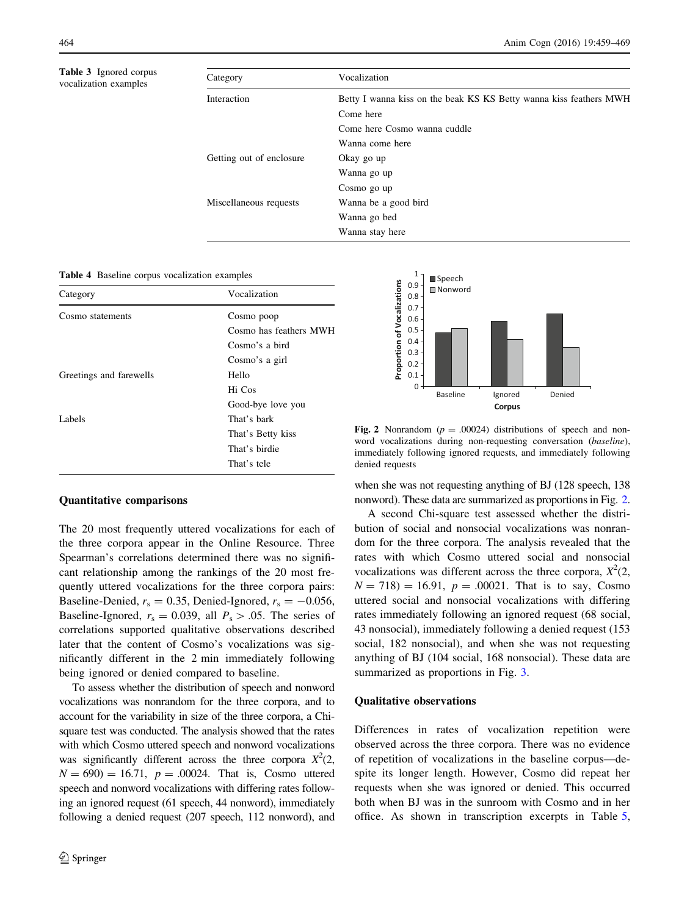<span id="page-5-0"></span>464 Anim Cogn (2016) 19:459–469

| <b>Table 3</b> Ignored corpus<br>vocalization examples | Category    | Vocalization              |
|--------------------------------------------------------|-------------|---------------------------|
|                                                        | Interaction | Betty I want<br>Come here |

| Category                 | Vocalization                                                       |
|--------------------------|--------------------------------------------------------------------|
| Interaction              | Betty I wanna kiss on the beak KS KS Betty wanna kiss feathers MWH |
|                          | Come here                                                          |
|                          | Come here Cosmo wanna cuddle                                       |
|                          | Wanna come here                                                    |
| Getting out of enclosure | Okay go up                                                         |
|                          | Wanna go up                                                        |
|                          | Cosmo go up                                                        |
| Miscellaneous requests   | Wanna be a good bird                                               |
|                          | Wanna go bed                                                       |
|                          | Wanna stay here                                                    |

Table 4 Baseline corpus vocalization examples

| Category                | Vocalization           |
|-------------------------|------------------------|
| Cosmo statements        | Cosmo poop             |
|                         | Cosmo has feathers MWH |
|                         | Cosmo's a bird         |
|                         | Cosmo's a girl         |
| Greetings and farewells | Hello                  |
|                         | Hi Cos                 |
|                         | Good-bye love you      |
| Labels                  | That's bark            |
|                         | That's Betty kiss      |
|                         | That's birdie          |
|                         | That's tele            |

# Quantitative comparisons

The 20 most frequently uttered vocalizations for each of the three corpora appear in the Online Resource. Three Spearman's correlations determined there was no significant relationship among the rankings of the 20 most frequently uttered vocalizations for the three corpora pairs: Baseline-Denied,  $r_s = 0.35$ , Denied-Ignored,  $r_s = -0.056$ , Baseline-Ignored,  $r_s = 0.039$ , all  $P_s > .05$ . The series of correlations supported qualitative observations described later that the content of Cosmo's vocalizations was significantly different in the 2 min immediately following being ignored or denied compared to baseline.

To assess whether the distribution of speech and nonword vocalizations was nonrandom for the three corpora, and to account for the variability in size of the three corpora, a Chisquare test was conducted. The analysis showed that the rates with which Cosmo uttered speech and nonword vocalizations was significantly different across the three corpora  $X^2(2)$ ,  $N = 690$  = 16.71,  $p = .00024$ . That is, Cosmo uttered speech and nonword vocalizations with differing rates following an ignored request (61 speech, 44 nonword), immediately following a denied request (207 speech, 112 nonword), and



Fig. 2 Nonrandom ( $p = .00024$ ) distributions of speech and nonword vocalizations during non-requesting conversation (baseline), immediately following ignored requests, and immediately following denied requests

when she was not requesting anything of BJ (128 speech, 138 nonword). These data are summarized as proportions in Fig. 2.

A second Chi-square test assessed whether the distribution of social and nonsocial vocalizations was nonrandom for the three corpora. The analysis revealed that the rates with which Cosmo uttered social and nonsocial vocalizations was different across the three corpora,  $X^2(2)$ ,  $N = 718$ ) = 16.91,  $p = .00021$ . That is to say, Cosmo uttered social and nonsocial vocalizations with differing rates immediately following an ignored request (68 social, 43 nonsocial), immediately following a denied request (153 social, 182 nonsocial), and when she was not requesting anything of BJ (104 social, 168 nonsocial). These data are summarized as proportions in Fig. [3.](#page-6-0)

# Qualitative observations

Differences in rates of vocalization repetition were observed across the three corpora. There was no evidence of repetition of vocalizations in the baseline corpus—despite its longer length. However, Cosmo did repeat her requests when she was ignored or denied. This occurred both when BJ was in the sunroom with Cosmo and in her office. As shown in transcription excerpts in Table [5,](#page-6-0)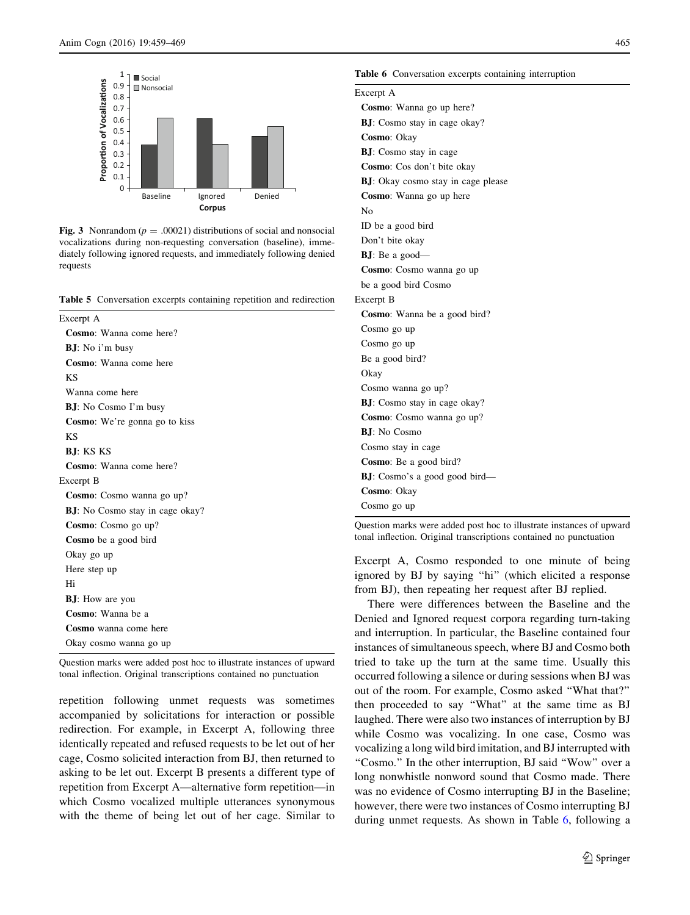<span id="page-6-0"></span>

Fig. 3 Nonrandom ( $p = .00021$ ) distributions of social and nonsocial vocalizations during non-requesting conversation (baseline), immediately following ignored requests, and immediately following denied requests

Table 5 Conversation excerpts containing repetition and redirection

| Excerpt A                               |
|-----------------------------------------|
| Cosmo: Wanna come here?                 |
| <b>BJ</b> : No i'm busy                 |
| <b>Cosmo</b> : Wanna come here          |
| <b>KS</b>                               |
| Wanna come here                         |
| <b>BJ</b> : No Cosmo I'm busy           |
| Cosmo: We're gonna go to kiss           |
| <b>KS</b>                               |
| <b>B.I:</b> KS KS                       |
| Cosmo: Wanna come here?                 |
| Excerpt B                               |
| Cosmo: Cosmo wanna go up?               |
| <b>BJ</b> : No Cosmo stay in cage okay? |
| Cosmo: Cosmo go up?                     |
| Cosmo be a good bird                    |
| Okay go up                              |
| Here step up                            |
| Hi                                      |
| <b>BJ</b> : How are you                 |
| Cosmo: Wanna be a                       |
| Cosmo wanna come here                   |
| Okay cosmo wanna go up                  |

Question marks were added post hoc to illustrate instances of upward tonal inflection. Original transcriptions contained no punctuation

repetition following unmet requests was sometimes accompanied by solicitations for interaction or possible redirection. For example, in Excerpt A, following three identically repeated and refused requests to be let out of her cage, Cosmo solicited interaction from BJ, then returned to asking to be let out. Excerpt B presents a different type of repetition from Excerpt A—alternative form repetition—in which Cosmo vocalized multiple utterances synonymous with the theme of being let out of her cage. Similar to

#### Table 6 Conversation excerpts containing interruption

| Excerpt A                                  |
|--------------------------------------------|
| Cosmo: Wanna go up here?                   |
| <b>BJ</b> : Cosmo stay in cage okay?       |
| Cosmo: Okay                                |
| <b>BJ</b> : Cosmo stay in cage             |
| Cosmo: Cos don't bite okay                 |
| <b>BJ</b> : Okay cosmo stay in cage please |
| Cosmo: Wanna go up here                    |
| Nο                                         |
| ID be a good bird                          |
| Don't bite okay                            |
| <b>BJ</b> : Be a good—                     |
| Cosmo: Cosmo wanna go up                   |
| be a good bird Cosmo                       |
| Excerpt B                                  |
| <b>Cosmo:</b> Wanna be a good bird?        |
| Cosmo go up                                |
| Cosmo go up                                |
| Be a good bird?                            |
| Okay                                       |
| Cosmo wanna go up?                         |
| <b>BJ</b> : Cosmo stay in cage okay?       |
| Cosmo: Cosmo wanna go up?                  |
| <b>B.J</b> : No Cosmo                      |
| Cosmo stay in cage                         |
| Cosmo: Be a good bird?                     |
| <b>BJ</b> : Cosmo's a good good bird—      |
| Cosmo: Okay                                |
| Cosmo go up                                |

Question marks were added post hoc to illustrate instances of upward tonal inflection. Original transcriptions contained no punctuation

Excerpt A, Cosmo responded to one minute of being ignored by BJ by saying ''hi'' (which elicited a response from BJ), then repeating her request after BJ replied.

There were differences between the Baseline and the Denied and Ignored request corpora regarding turn-taking and interruption. In particular, the Baseline contained four instances of simultaneous speech, where BJ and Cosmo both tried to take up the turn at the same time. Usually this occurred following a silence or during sessions when BJ was out of the room. For example, Cosmo asked ''What that?'' then proceeded to say ''What'' at the same time as BJ laughed. There were also two instances of interruption by BJ while Cosmo was vocalizing. In one case, Cosmo was vocalizing a long wild bird imitation, and BJ interrupted with "Cosmo." In the other interruption, BJ said "Wow" over a long nonwhistle nonword sound that Cosmo made. There was no evidence of Cosmo interrupting BJ in the Baseline; however, there were two instances of Cosmo interrupting BJ during unmet requests. As shown in Table 6, following a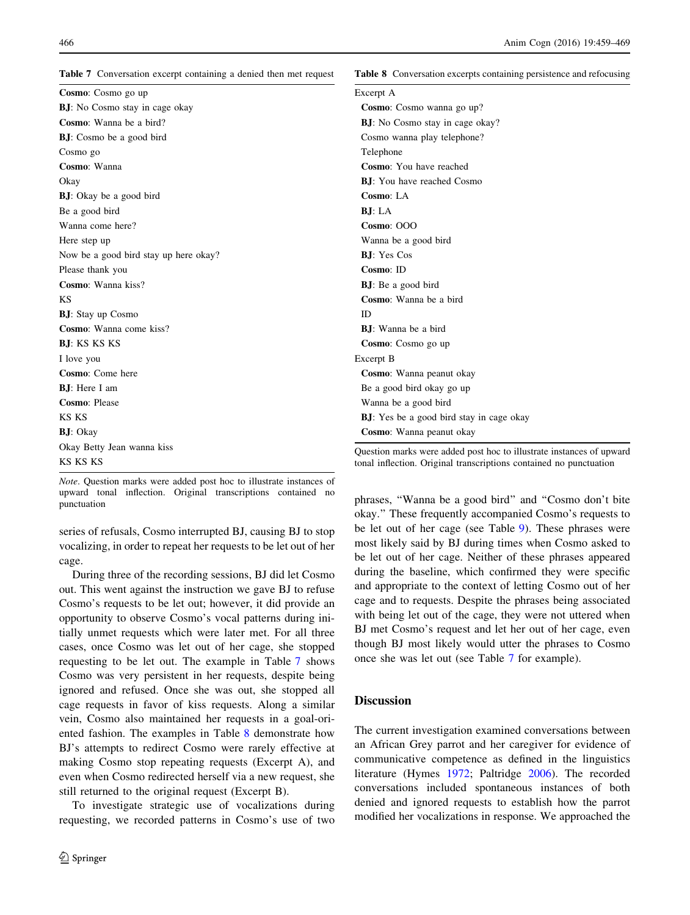| <b>Table 7</b> Conversation excerpt containing a denied then met request | <b>Table 8</b> Conversation excerpts containing persistence and refocusing |  |
|--------------------------------------------------------------------------|----------------------------------------------------------------------------|--|
| Cosmo: Cosmo go up                                                       | Excerpt A                                                                  |  |
| <b>BJ</b> : No Cosmo stay in cage okay                                   | Cosmo: Cosmo wanna go up?                                                  |  |
| Cosmo: Wanna be a bird?                                                  | <b>BJ</b> : No Cosmo stay in cage okay?                                    |  |
| <b>BJ</b> : Cosmo be a good bird                                         | Cosmo wanna play telephone?                                                |  |
| Cosmo go                                                                 | Telephone                                                                  |  |
| Cosmo: Wanna                                                             | Cosmo: You have reached                                                    |  |
| Okay                                                                     | <b>B.J</b> : You have reached Cosmo                                        |  |
| <b>BJ</b> : Okay be a good bird                                          | Cosmo: LA                                                                  |  |
| Be a good bird                                                           | B.I: LA                                                                    |  |
| Wanna come here?                                                         | Cosmo: OOO                                                                 |  |
| Here step up                                                             | Wanna be a good bird                                                       |  |
| Now be a good bird stay up here okay?                                    | <b>B.J</b> : Yes Cos                                                       |  |
| Please thank you                                                         | Cosmo: ID                                                                  |  |
| Cosmo: Wanna kiss?                                                       | <b>BJ</b> : Be a good bird                                                 |  |
| KS                                                                       | Cosmo: Wanna be a bird                                                     |  |
| <b>BJ</b> : Stay up Cosmo                                                | ID                                                                         |  |
| Cosmo: Wanna come kiss?                                                  | <b>B.J</b> : Wanna be a bird                                               |  |
| <b>B.J</b> : KS KS KS                                                    | Cosmo: Cosmo go up                                                         |  |
| I love you                                                               | Excerpt B                                                                  |  |
| Cosmo: Come here                                                         | Cosmo: Wanna peanut okay                                                   |  |
| <b>B.I:</b> Here I am                                                    | Be a good bird okay go up                                                  |  |
| Cosmo: Please                                                            | Wanna be a good bird                                                       |  |
| <b>KS KS</b>                                                             | <b>BJ</b> : Yes be a good bird stay in cage okay                           |  |
| <b>BJ</b> : Okay                                                         | Cosmo: Wanna peanut okay                                                   |  |
| Okay Betty Jean wanna kiss                                               | Question marks were added post hoc to illustrate instances of upward       |  |
| KS KS KS                                                                 | tonal inflection. Original transcriptions contained no punctuation         |  |

Table 7 Conversation excerpt containing a denied then met request

Note. Question marks were added post hoc to illustrate instances of upward tonal inflection. Original transcriptions contained no punctuation

series of refusals, Cosmo interrupted BJ, causing BJ to stop vocalizing, in order to repeat her requests to be let out of her cage.

During three of the recording sessions, BJ did let Cosmo out. This went against the instruction we gave BJ to refuse Cosmo's requests to be let out; however, it did provide an opportunity to observe Cosmo's vocal patterns during initially unmet requests which were later met. For all three cases, once Cosmo was let out of her cage, she stopped requesting to be let out. The example in Table 7 shows Cosmo was very persistent in her requests, despite being ignored and refused. Once she was out, she stopped all cage requests in favor of kiss requests. Along a similar vein, Cosmo also maintained her requests in a goal-oriented fashion. The examples in Table 8 demonstrate how BJ's attempts to redirect Cosmo were rarely effective at making Cosmo stop repeating requests (Excerpt A), and even when Cosmo redirected herself via a new request, she still returned to the original request (Excerpt B).

To investigate strategic use of vocalizations during requesting, we recorded patterns in Cosmo's use of two

Question marks were added post hoc to illustrate instances of upward tonal inflection. Original transcriptions contained no punctuation

phrases, ''Wanna be a good bird'' and ''Cosmo don't bite okay.'' These frequently accompanied Cosmo's requests to be let out of her cage (see Table [9](#page-8-0)). These phrases were most likely said by BJ during times when Cosmo asked to be let out of her cage. Neither of these phrases appeared during the baseline, which confirmed they were specific and appropriate to the context of letting Cosmo out of her cage and to requests. Despite the phrases being associated with being let out of the cage, they were not uttered when BJ met Cosmo's request and let her out of her cage, even though BJ most likely would utter the phrases to Cosmo once she was let out (see Table 7 for example).

# **Discussion**

The current investigation examined conversations between an African Grey parrot and her caregiver for evidence of communicative competence as defined in the linguistics literature (Hymes [1972;](#page-9-0) Paltridge [2006](#page-10-0)). The recorded conversations included spontaneous instances of both denied and ignored requests to establish how the parrot modified her vocalizations in response. We approached the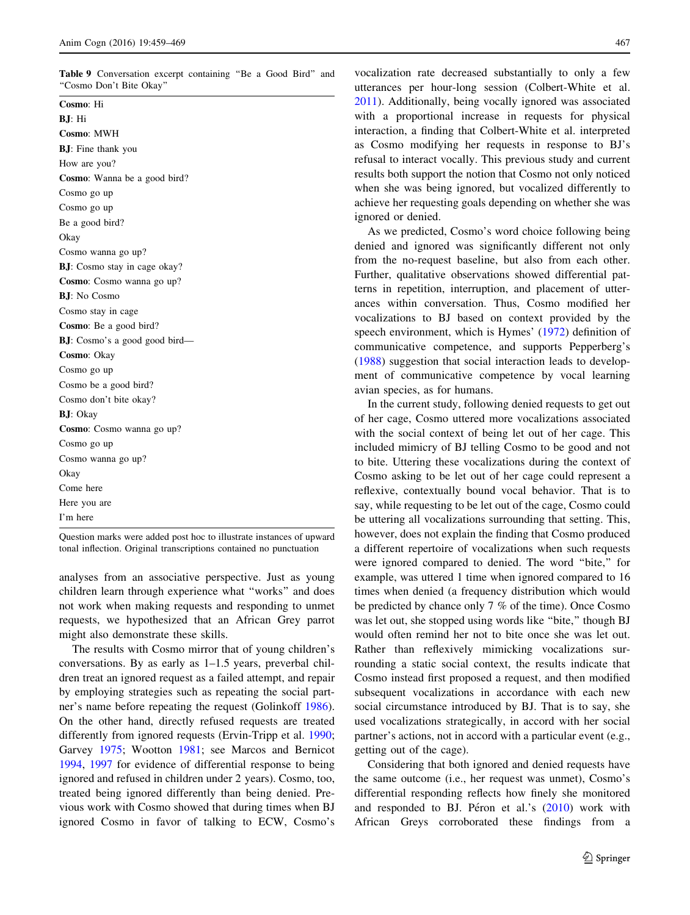<span id="page-8-0"></span>

| <b>Table 9</b> Conversation excerpt containing "Be a Good Bird" and |  |  |  |  |
|---------------------------------------------------------------------|--|--|--|--|
| "Cosmo Don't Bite Okay"                                             |  |  |  |  |

| Cosmo: Hi                            |
|--------------------------------------|
| B.I: Hi                              |
| <b>Cosmo: MWH</b>                    |
| <b>BJ</b> : Fine thank you           |
| How are you?                         |
| Cosmo: Wanna be a good bird?         |
| Cosmo go up                          |
| Cosmo go up                          |
| Be a good bird?                      |
| Okay                                 |
| Cosmo wanna go up?                   |
| <b>BJ</b> : Cosmo stay in cage okay? |
| Cosmo: Cosmo wanna go up?            |
| <b>B.J</b> : No Cosmo                |
| Cosmo stay in cage                   |
| Cosmo: Be a good bird?               |
| BJ: Cosmo's a good good bird-        |
| Cosmo: Okay                          |
| Cosmo go up                          |
| Cosmo be a good bird?                |
| Cosmo don't bite okay?               |
| <b>BJ</b> : Okay                     |
| Cosmo: Cosmo wanna go up?            |
| Cosmo go up                          |
| Cosmo wanna go up?                   |
| Okay                                 |
| Come here                            |
| Here you are                         |
| I'm here                             |

Question marks were added post hoc to illustrate instances of upward tonal inflection. Original transcriptions contained no punctuation

analyses from an associative perspective. Just as young children learn through experience what ''works'' and does not work when making requests and responding to unmet requests, we hypothesized that an African Grey parrot might also demonstrate these skills.

The results with Cosmo mirror that of young children's conversations. By as early as 1–1.5 years, preverbal children treat an ignored request as a failed attempt, and repair by employing strategies such as repeating the social partner's name before repeating the request (Golinkoff [1986](#page-9-0)). On the other hand, directly refused requests are treated differently from ignored requests (Ervin-Tripp et al. [1990](#page-9-0); Garvey [1975;](#page-9-0) Wootton [1981;](#page-10-0) see Marcos and Bernicot [1994,](#page-10-0) [1997](#page-10-0) for evidence of differential response to being ignored and refused in children under 2 years). Cosmo, too, treated being ignored differently than being denied. Previous work with Cosmo showed that during times when BJ ignored Cosmo in favor of talking to ECW, Cosmo's

vocalization rate decreased substantially to only a few utterances per hour-long session (Colbert-White et al. [2011](#page-9-0)). Additionally, being vocally ignored was associated with a proportional increase in requests for physical interaction, a finding that Colbert-White et al. interpreted as Cosmo modifying her requests in response to BJ's refusal to interact vocally. This previous study and current results both support the notion that Cosmo not only noticed when she was being ignored, but vocalized differently to achieve her requesting goals depending on whether she was ignored or denied.

As we predicted, Cosmo's word choice following being denied and ignored was significantly different not only from the no-request baseline, but also from each other. Further, qualitative observations showed differential patterns in repetition, interruption, and placement of utterances within conversation. Thus, Cosmo modified her vocalizations to BJ based on context provided by the speech environment, which is Hymes' [\(1972](#page-9-0)) definition of communicative competence, and supports Pepperberg's [\(1988](#page-10-0)) suggestion that social interaction leads to development of communicative competence by vocal learning avian species, as for humans.

In the current study, following denied requests to get out of her cage, Cosmo uttered more vocalizations associated with the social context of being let out of her cage. This included mimicry of BJ telling Cosmo to be good and not to bite. Uttering these vocalizations during the context of Cosmo asking to be let out of her cage could represent a reflexive, contextually bound vocal behavior. That is to say, while requesting to be let out of the cage, Cosmo could be uttering all vocalizations surrounding that setting. This, however, does not explain the finding that Cosmo produced a different repertoire of vocalizations when such requests were ignored compared to denied. The word ''bite,'' for example, was uttered 1 time when ignored compared to 16 times when denied (a frequency distribution which would be predicted by chance only 7 % of the time). Once Cosmo was let out, she stopped using words like "bite," though BJ would often remind her not to bite once she was let out. Rather than reflexively mimicking vocalizations surrounding a static social context, the results indicate that Cosmo instead first proposed a request, and then modified subsequent vocalizations in accordance with each new social circumstance introduced by BJ. That is to say, she used vocalizations strategically, in accord with her social partner's actions, not in accord with a particular event (e.g., getting out of the cage).

Considering that both ignored and denied requests have the same outcome (i.e., her request was unmet), Cosmo's differential responding reflects how finely she monitored and responded to BJ. Péron et al.'s  $(2010)$  $(2010)$  work with African Greys corroborated these findings from a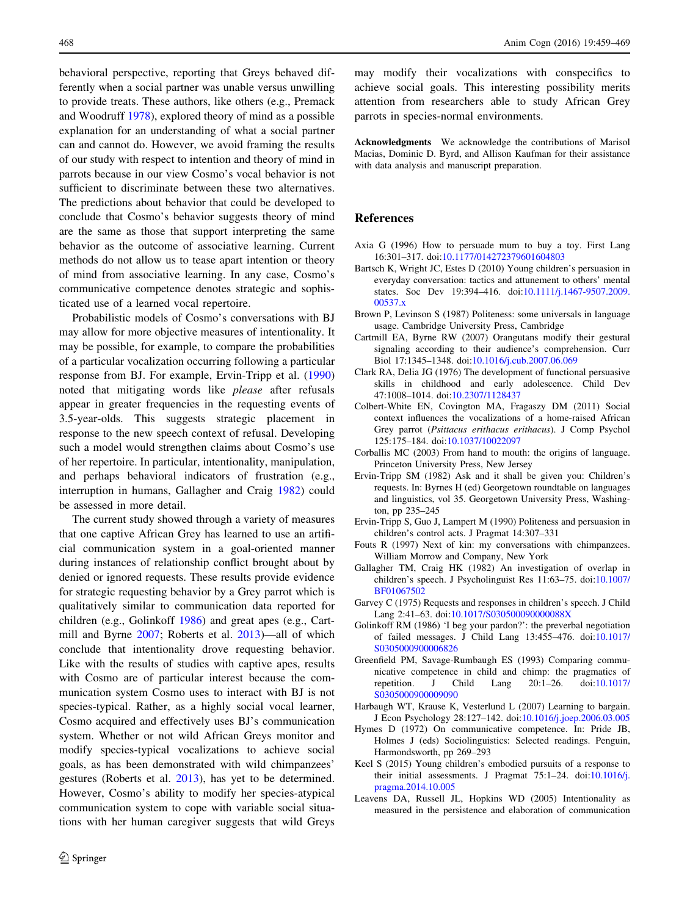<span id="page-9-0"></span>behavioral perspective, reporting that Greys behaved differently when a social partner was unable versus unwilling to provide treats. These authors, like others (e.g., Premack and Woodruff [1978](#page-10-0)), explored theory of mind as a possible explanation for an understanding of what a social partner can and cannot do. However, we avoid framing the results of our study with respect to intention and theory of mind in parrots because in our view Cosmo's vocal behavior is not sufficient to discriminate between these two alternatives. The predictions about behavior that could be developed to conclude that Cosmo's behavior suggests theory of mind are the same as those that support interpreting the same behavior as the outcome of associative learning. Current methods do not allow us to tease apart intention or theory of mind from associative learning. In any case, Cosmo's communicative competence denotes strategic and sophisticated use of a learned vocal repertoire.

Probabilistic models of Cosmo's conversations with BJ may allow for more objective measures of intentionality. It may be possible, for example, to compare the probabilities of a particular vocalization occurring following a particular response from BJ. For example, Ervin-Tripp et al. (1990) noted that mitigating words like please after refusals appear in greater frequencies in the requesting events of 3.5-year-olds. This suggests strategic placement in response to the new speech context of refusal. Developing such a model would strengthen claims about Cosmo's use of her repertoire. In particular, intentionality, manipulation, and perhaps behavioral indicators of frustration (e.g., interruption in humans, Gallagher and Craig 1982) could be assessed in more detail.

The current study showed through a variety of measures that one captive African Grey has learned to use an artificial communication system in a goal-oriented manner during instances of relationship conflict brought about by denied or ignored requests. These results provide evidence for strategic requesting behavior by a Grey parrot which is qualitatively similar to communication data reported for children (e.g., Golinkoff 1986) and great apes (e.g., Cartmill and Byrne 2007; Roberts et al. [2013](#page-10-0))—all of which conclude that intentionality drove requesting behavior. Like with the results of studies with captive apes, results with Cosmo are of particular interest because the communication system Cosmo uses to interact with BJ is not species-typical. Rather, as a highly social vocal learner, Cosmo acquired and effectively uses BJ's communication system. Whether or not wild African Greys monitor and modify species-typical vocalizations to achieve social goals, as has been demonstrated with wild chimpanzees' gestures (Roberts et al. [2013\)](#page-10-0), has yet to be determined. However, Cosmo's ability to modify her species-atypical communication system to cope with variable social situations with her human caregiver suggests that wild Greys

may modify their vocalizations with conspecifics to achieve social goals. This interesting possibility merits attention from researchers able to study African Grey parrots in species-normal environments.

Acknowledgments We acknowledge the contributions of Marisol Macias, Dominic D. Byrd, and Allison Kaufman for their assistance with data analysis and manuscript preparation.

# References

- Axia G (1996) How to persuade mum to buy a toy. First Lang 16:301–317. doi:[10.1177/014272379601604803](http://dx.doi.org/10.1177/014272379601604803)
- Bartsch K, Wright JC, Estes D (2010) Young children's persuasion in everyday conversation: tactics and attunement to others' mental states. Soc Dev 19:394–416. doi:[10.1111/j.1467-9507.2009.](http://dx.doi.org/10.1111/j.1467-9507.2009.00537.x) [00537.x](http://dx.doi.org/10.1111/j.1467-9507.2009.00537.x)
- Brown P, Levinson S (1987) Politeness: some universals in language usage. Cambridge University Press, Cambridge
- Cartmill EA, Byrne RW (2007) Orangutans modify their gestural signaling according to their audience's comprehension. Curr Biol 17:1345–1348. doi:[10.1016/j.cub.2007.06.069](http://dx.doi.org/10.1016/j.cub.2007.06.069)
- Clark RA, Delia JG (1976) The development of functional persuasive skills in childhood and early adolescence. Child Dev 47:1008–1014. doi[:10.2307/1128437](http://dx.doi.org/10.2307/1128437)
- Colbert-White EN, Covington MA, Fragaszy DM (2011) Social context influences the vocalizations of a home-raised African Grey parrot (Psittacus erithacus erithacus). J Comp Psychol 125:175–184. doi[:10.1037/10022097](http://dx.doi.org/10.1037/10022097)
- Corballis MC (2003) From hand to mouth: the origins of language. Princeton University Press, New Jersey
- Ervin-Tripp SM (1982) Ask and it shall be given you: Children's requests. In: Byrnes H (ed) Georgetown roundtable on languages and linguistics, vol 35. Georgetown University Press, Washington, pp 235–245
- Ervin-Tripp S, Guo J, Lampert M (1990) Politeness and persuasion in children's control acts. J Pragmat 14:307–331
- Fouts R (1997) Next of kin: my conversations with chimpanzees. William Morrow and Company, New York
- Gallagher TM, Craig HK (1982) An investigation of overlap in children's speech. J Psycholinguist Res 11:63–75. doi[:10.1007/](http://dx.doi.org/10.1007/BF01067502) [BF01067502](http://dx.doi.org/10.1007/BF01067502)
- Garvey C (1975) Requests and responses in children's speech. J Child Lang 2:41–63. doi[:10.1017/S030500090000088X](http://dx.doi.org/10.1017/S030500090000088X)
- Golinkoff RM (1986) 'I beg your pardon?': the preverbal negotiation of failed messages. J Child Lang 13:455–476. doi[:10.1017/](http://dx.doi.org/10.1017/S0305000900006826) [S0305000900006826](http://dx.doi.org/10.1017/S0305000900006826)
- Greenfield PM, Savage-Rumbaugh ES (1993) Comparing communicative competence in child and chimp: the pragmatics of repetition.  $J$  Child Lang  $20:1-26$ . doi:10.1017/ repetition. J Child Lang 20:1–26. doi[:10.1017/](http://dx.doi.org/10.1017/S0305000900009090) [S0305000900009090](http://dx.doi.org/10.1017/S0305000900009090)
- Harbaugh WT, Krause K, Vesterlund L (2007) Learning to bargain. J Econ Psychology 28:127–142. doi:[10.1016/j.joep.2006.03.005](http://dx.doi.org/10.1016/j.joep.2006.03.005)
- Hymes D (1972) On communicative competence. In: Pride JB, Holmes J (eds) Sociolinguistics: Selected readings. Penguin, Harmondsworth, pp 269–293
- Keel S (2015) Young children's embodied pursuits of a response to their initial assessments. J Pragmat 75:1–24. doi:[10.1016/j.](http://dx.doi.org/10.1016/j.pragma.2014.10.005) [pragma.2014.10.005](http://dx.doi.org/10.1016/j.pragma.2014.10.005)
- Leavens DA, Russell JL, Hopkins WD (2005) Intentionality as measured in the persistence and elaboration of communication